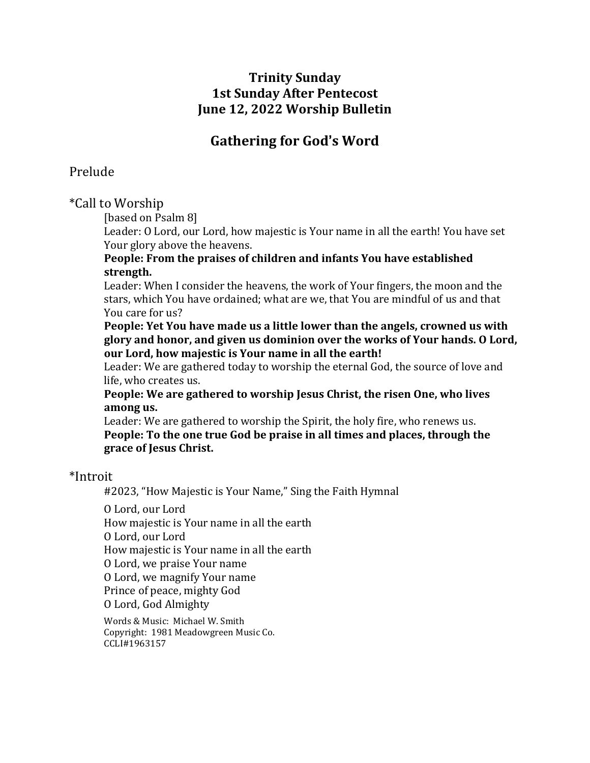## **Trinity Sunday 1st Sunday After Pentecost June 12, 2022 Worship Bulletin**

# **Gathering for God**'**s Word**

## Prelude

\*Call to Worship

[based on Psalm 8]

Leader: O Lord, our Lord, how majestic is Your name in all the earth! You have set Your glory above the heavens.

### **People: From the praises of children and infants You have established strength.**

Leader: When I consider the heavens, the work of Your fingers, the moon and the stars, which You have ordained; what are we, that You are mindful of us and that You care for us?

**People: Yet You have made us a little lower than the angels, crowned us with glory and honor, and given us dominion over the works of Your hands. O Lord, our Lord, how majestic is Your name in all the earth!**

Leader: We are gathered today to worship the eternal God, the source of love and life, who creates us.

**People: We are gathered to worship Jesus Christ, the risen One, who lives among us.**

Leader: We are gathered to worship the Spirit, the holy fire, who renews us. **People: To the one true God be praise in all times and places, through the grace of Jesus Christ.**

## \*Introit

#2023, "How Majestic is Your Name," Sing the Faith Hymnal

O Lord, our Lord

How majestic is Your name in all the earth

O Lord, our Lord

How majestic is Your name in all the earth

O Lord, we praise Your name

O Lord, we magnify Your name

Prince of peace, mighty God

O Lord, God Almighty

Words & Music: Michael W. Smith Copyright: 1981 Meadowgreen Music Co. CCLI#1963157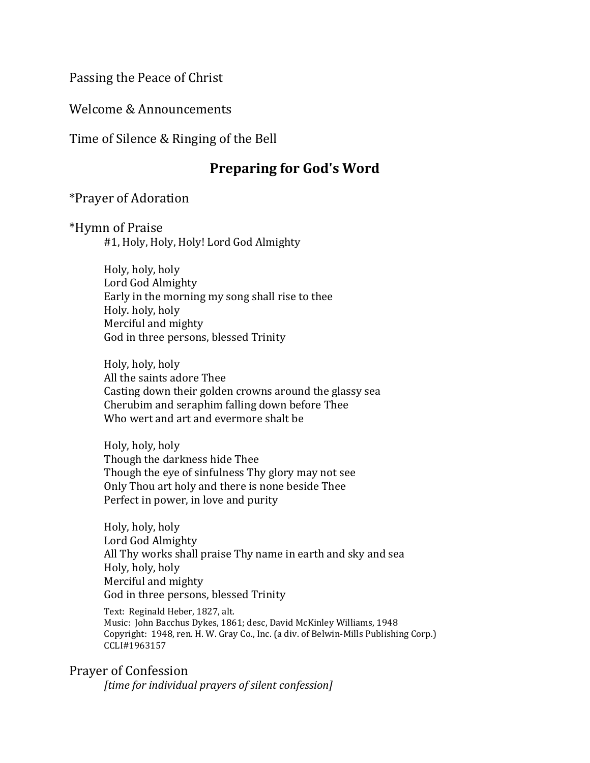Passing the Peace of Christ

Welcome & Announcements

Time of Silence & Ringing of the Bell

# **Preparing for God's Word**

\*Prayer of Adoration

\*Hymn of Praise

#1, Holy, Holy, Holy! Lord God Almighty

Holy, holy, holy Lord God Almighty Early in the morning my song shall rise to thee Holy. holy, holy Merciful and mighty God in three persons, blessed Trinity

Holy, holy, holy All the saints adore Thee Casting down their golden crowns around the glassy sea Cherubim and seraphim falling down before Thee Who wert and art and evermore shalt be

Holy, holy, holy Though the darkness hide Thee Though the eye of sinfulness Thy glory may not see Only Thou art holy and there is none beside Thee Perfect in power, in love and purity

Holy, holy, holy Lord God Almighty All Thy works shall praise Thy name in earth and sky and sea Holy, holy, holy Merciful and mighty God in three persons, blessed Trinity

Text: Reginald Heber, 1827, alt. Music: John Bacchus Dykes, 1861; desc, David McKinley Williams, 1948 Copyright: 1948, ren. H. W. Gray Co., Inc. (a div. of Belwin-Mills Publishing Corp.) CCLI#1963157

Prayer of Confession

*[time for individual prayers of silent confession]*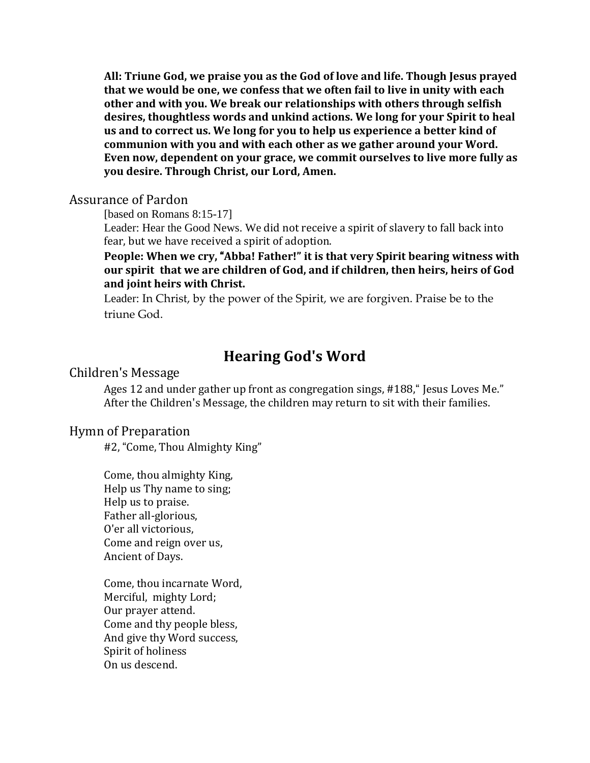**All: Triune God, we praise you as the God of love and life. Though Jesus prayed that we would be one, we confess that we often fail to live in unity with each other and with you. We break our relationships with others through selfish desires, thoughtless words and unkind actions. We long for your Spirit to heal us and to correct us. We long for you to help us experience a better kind of communion with you and with each other as we gather around your Word. Even now, dependent on your grace, we commit ourselves to live more fully as you desire. Through Christ, our Lord, Amen.**

#### Assurance of Pardon

[based on Romans 8:15-17]

Leader: Hear the Good News. We did not receive a spirit of slavery to fall back into fear, but we have received a spirit of adoption.

#### **People: When we cry,** "**Abba! Father!" it is that very Spirit bearing witness with our spirit that we are children of God, and if children, then heirs, heirs of God and joint heirs with Christ.**

Leader: In Christ, by the power of the Spirit, we are forgiven. Praise be to the triune God.

# **Hearing God's Word**

#### Children's Message

Ages 12 and under gather up front as congregation sings, #188," Jesus Loves Me." After the Children's Message, the children may return to sit with their families.

#### Hymn of Preparation

#2, "Come, Thou Almighty King"

Come, thou almighty King, Help us Thy name to sing; Help us to praise. Father all-glorious, O'er all victorious, Come and reign over us, Ancient of Days.

Come, thou incarnate Word, Merciful, mighty Lord; Our prayer attend. Come and thy people bless, And give thy Word success, Spirit of holiness On us descend.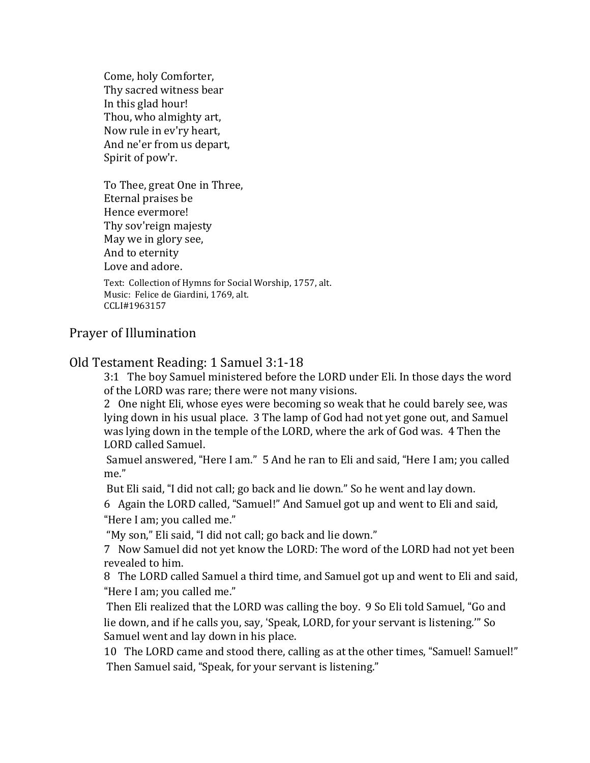Come, holy Comforter, Thy sacred witness bear In this glad hour! Thou, who almighty art, Now rule in ev'ry heart, And ne'er from us depart, Spirit of pow'r.

To Thee, great One in Three, Eternal praises be Hence evermore! Thy sov'reign majesty May we in glory see, And to eternity Love and adore. Text: Collection of Hymns for Social Worship, 1757, alt.

Music: Felice de Giardini, 1769, alt. CCLI#1963157

## Prayer of Illumination

## Old Testament Reading: 1 Samuel 3:1-18

3:1 The boy Samuel ministered before the LORD under Eli. In those days the word of the LORD was rare; there were not many visions.

2 One night Eli, whose eyes were becoming so weak that he could barely see, was lying down in his usual place. 3 The lamp of God had not yet gone out, and Samuel was lying down in the temple of the LORD, where the ark of God was. 4 Then the LORD called Samuel.

Samuel answered, "Here I am." 5 And he ran to Eli and said, "Here I am; you called me."

But Eli said, "I did not call; go back and lie down." So he went and lay down.

6 Again the LORD called, "Samuel!" And Samuel got up and went to Eli and said, "Here I am; you called me."

"My son," Eli said, "I did not call; go back and lie down."

7 Now Samuel did not yet know the LORD: The word of the LORD had not yet been revealed to him.

8 The LORD called Samuel a third time, and Samuel got up and went to Eli and said, "Here I am; you called me."

Then Eli realized that the LORD was calling the boy. 9 So Eli told Samuel, "Go and lie down, and if he calls you, say, 'Speak, LORD, for your servant is listening.'" So Samuel went and lay down in his place.

10 The LORD came and stood there, calling as at the other times, "Samuel! Samuel!" Then Samuel said, "Speak, for your servant is listening."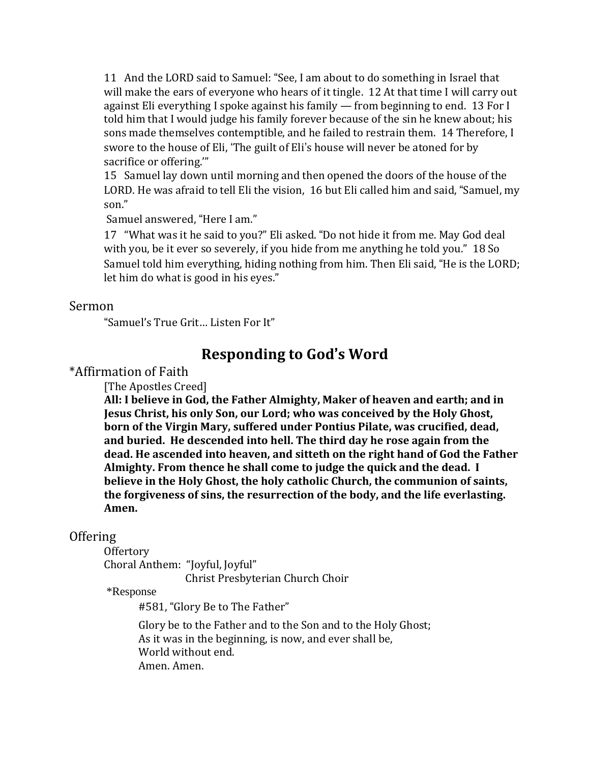11 And the LORD said to Samuel: "See, I am about to do something in Israel that will make the ears of everyone who hears of it tingle. 12 At that time I will carry out against Eli everything I spoke against his family — from beginning to end. 13 For I told him that I would judge his family forever because of the sin he knew about; his sons made themselves contemptible, and he failed to restrain them. 14 Therefore, I swore to the house of Eli, 'The guilt of Eli's house will never be atoned for by sacrifice or offering.'"

15 Samuel lay down until morning and then opened the doors of the house of the LORD. He was afraid to tell Eli the vision, 16 but Eli called him and said, "Samuel, my son."

Samuel answered, "Here I am."

17 "What was it he said to you?" Eli asked. "Do not hide it from me. May God deal with you, be it ever so severely, if you hide from me anything he told you." 18 So Samuel told him everything, hiding nothing from him. Then Eli said, "He is the LORD; let him do what is good in his eyes."

#### Sermon

"Samuel's True Grit… Listen For It"

# **Responding to God**'**s Word**

\*Affirmation of Faith

[The Apostles Creed]

**All: I believe in God, the Father Almighty, Maker of heaven and earth; and in Jesus Christ, his only Son, our Lord; who was conceived by the Holy Ghost, born of the Virgin Mary, suffered under Pontius Pilate, was crucified, dead, and buried. He descended into hell. The third day he rose again from the dead. He ascended into heaven, and sitteth on the right hand of God the Father Almighty. From thence he shall come to judge the quick and the dead. I believe in the Holy Ghost, the holy catholic Church, the communion of saints, the forgiveness of sins, the resurrection of the body, and the life everlasting. Amen.**

#### **Offering**

**Offertory** 

Choral Anthem: "Joyful, Joyful" Christ Presbyterian Church Choir

\*Response

#581, "Glory Be to The Father"

Glory be to the Father and to the Son and to the Holy Ghost; As it was in the beginning, is now, and ever shall be, World without end. Amen. Amen.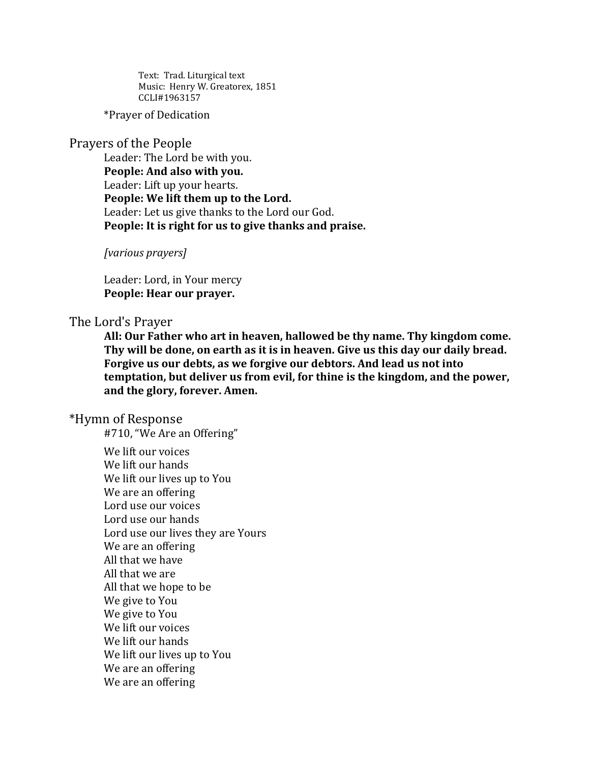Text: Trad. Liturgical text Music: Henry W. Greatorex, 1851 CCLI#1963157

\*Prayer of Dedication

## Prayers of the People

Leader: The Lord be with you. **People: And also with you.** Leader: Lift up your hearts. **People: We lift them up to the Lord.** Leader: Let us give thanks to the Lord our God. **People: It is right for us to give thanks and praise.**

*[various prayers]*

Leader: Lord, in Your mercy **People: Hear our prayer.**

#### The Lord's Prayer

**All: Our Father who art in heaven, hallowed be thy name. Thy kingdom come. Thy will be done, on earth as it is in heaven. Give us this day our daily bread. Forgive us our debts, as we forgive our debtors. And lead us not into temptation, but deliver us from evil, for thine is the kingdom, and the power, and the glory, forever. Amen.**

#### \*Hymn of Response

#710, "We Are an Offering"

We lift our voices We lift our hands We lift our lives up to You We are an offering Lord use our voices Lord use our hands Lord use our lives they are Yours We are an offering All that we have All that we are All that we hope to be We give to You We give to You We lift our voices We lift our hands We lift our lives up to You We are an offering We are an offering